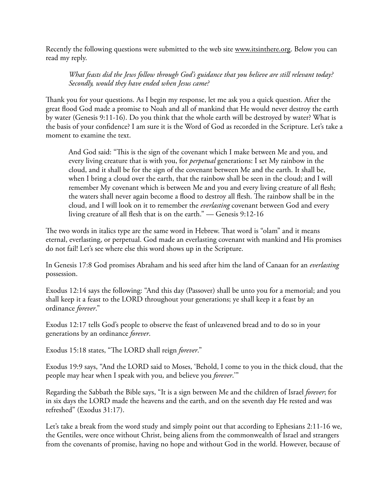Recently the following questions were submitted to the web site [www.itsinthere.org](http://www.itsinthere.org). Below you can read my reply.

*What feasts did the Jews follow through God's guidance that you believe are still relevant today? Secondly, would they have ended when Jesus came?*

Thank you for your questions. As I begin my response, let me ask you a quick question. After the great flood God made a promise to Noah and all of mankind that He would never destroy the earth by water (Genesis 9:11-16). Do you think that the whole earth will be destroyed by water? What is the basis of your confidence? I am sure it is the Word of God as recorded in the Scripture. Let's take a moment to examine the text.

And God said: "This is the sign of the covenant which I make between Me and you, and every living creature that is with you, for *perpetual* generations: I set My rainbow in the cloud, and it shall be for the sign of the covenant between Me and the earth. It shall be, when I bring a cloud over the earth, that the rainbow shall be seen in the cloud; and I will remember My covenant which is between Me and you and every living creature of all flesh; the waters shall never again become a flood to destroy all flesh. The rainbow shall be in the cloud, and I will look on it to remember the *everlasting* covenant between God and every living creature of all flesh that is on the earth."  $-$  Genesis 9:12-16

The two words in italics type are the same word in Hebrew. That word is "olam" and it means eternal, everlasting, or perpetual. God made an everlasting covenant with mankind and His promises do not fail! Let's see where else this word shows up in the Scripture.

In Genesis 17:8 God promises Abraham and his seed after him the land of Canaan for an *everlasting* possession.

Exodus 12:14 says the following: "And this day (Passover) shall be unto you for a memorial; and you shall keep it a feast to the LORD throughout your generations; ye shall keep it a feast by an ordinance *forever*."

Exodus 12:17 tells God's people to observe the feast of unleavened bread and to do so in your generations by an ordinance *forever*.

Exodus 15:18 states, "The LORD shall reign *forever*."

Exodus 19:9 says, "And the LORD said to Moses, 'Behold, I come to you in the thick cloud, that the people may hear when I speak with you, and believe you *forever*.'"

Regarding the Sabbath the Bible says, "It is a sign between Me and the children of Israel *forever*; for in six days the LORD made the heavens and the earth, and on the seventh day He rested and was refreshed" (Exodus 31:17).

Let's take a break from the word study and simply point out that according to Ephesians 2:11-16 we, the Gentiles, were once without Christ, being aliens from the commonwealth of Israel and strangers from the covenants of promise, having no hope and without God in the world. However, because of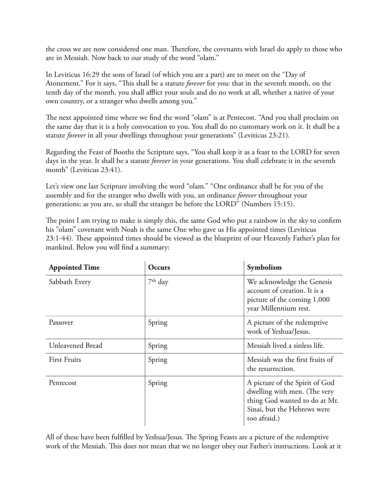the cross we are now considered one man. Therefore, the covenants with Israel do apply to those who are in Messiah. Now back to our study of the word "olam."

In Leviticus 16:29 the sons of Israel (of which you are a part) are to meet on the "Day of Atonement." For it says, "This shall be a statute *forever* for you: that in the seventh month, on the tenth day of the month, you shall afflict your souls and do no work at all, whether a native of your own country, or a stranger who dwells among you."

The next appointed time where we find the word "olam" is at Pentecost. "And you shall proclaim on the same day that it is a holy convocation to you. You shall do no customary work on it. It shall be a statute *forever* in all your dwellings throughout your generations" (Leviticus 23:21).

Regarding the Feast of Booths the Scripture says, "You shall keep it as a feast to the LORD for seven days in the year. It shall be a statute *forever* in your generations. You shall celebrate it in the seventh month" (Leviticus 23:41).

Let's view one last Scripture involving the word "olam." "One ordinance shall be for you of the assembly and for the stranger who dwells with you, an ordinance *forever* throughout your generations; as you are, so shall the stranger be before the LORD" (Numbers 15:15).

The point I am trying to make is simply this, the same God who put a rainbow in the sky to confirm his "olam" covenant with Noah is the same One who gave us His appointed times (Leviticus 23:1-44). These appointed times should be viewed as the blueprint of our Heavenly Father's plan for mankind. Below you will find a summary:

| <b>Appointed Time</b> | Occurs    | Symbolism                                                                                                                                      |
|-----------------------|-----------|------------------------------------------------------------------------------------------------------------------------------------------------|
| Sabbath Every         | $7th$ day | We acknowledge the Genesis<br>account of creation. It is a<br>picture of the coming 1,000<br>year Millennium rest.                             |
| Passover              | Spring    | A picture of the redemptive<br>work of Yeshua/Jesus.                                                                                           |
| Unleavened Bread      | Spring    | Messiah lived a sinless life.                                                                                                                  |
| <b>First Fruits</b>   | Spring    | Messiah was the first fruits of<br>the resurrection.                                                                                           |
| Pentecost             | Spring    | A picture of the Spirit of God<br>dwelling with men. (The very<br>thing God wanted to do at Mt.<br>Sinai, but the Hebrews were<br>too afraid.) |

All of these have been ful filled by Yeshua/Jesus. The Spring Feasts are a picture of the redemptive work of the Messiah. This does not mean that we no longer obey our Father's instructions. Look at it